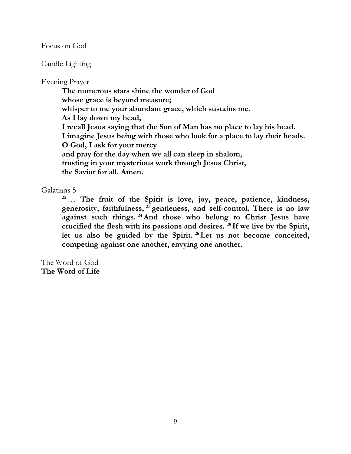Focus on God

Candle Lighting

## Evening Prayer

 **The numerous stars shine the wonder of God whose grace is beyond measure; whisper to me your abundant grace, which sustains me. As I lay down my head, I recall Jesus saying that the Son of Man has no place to lay his head. I imagine Jesus being with those who look for a place to lay their heads. O God, I ask for your mercy and pray for the day when we all can sleep in shalom, trusting in your mysterious work through Jesus Christ, the Savior for all. Amen.** 

## Galatians 5

**<sup>22</sup>**… **The fruit of the Spirit is love, joy, peace, patience, kindness, generosity, faithfulness, <sup>23</sup>gentleness, and self-control. There is no law against such things. <sup>24</sup>And those who belong to Christ Jesus have crucified the flesh with its passions and desires. <sup>25</sup>If we live by the Spirit, let us also be guided by the Spirit. <sup>26</sup>Let us not become conceited, competing against one another, envying one another.**

The Word of God **The Word of Life**